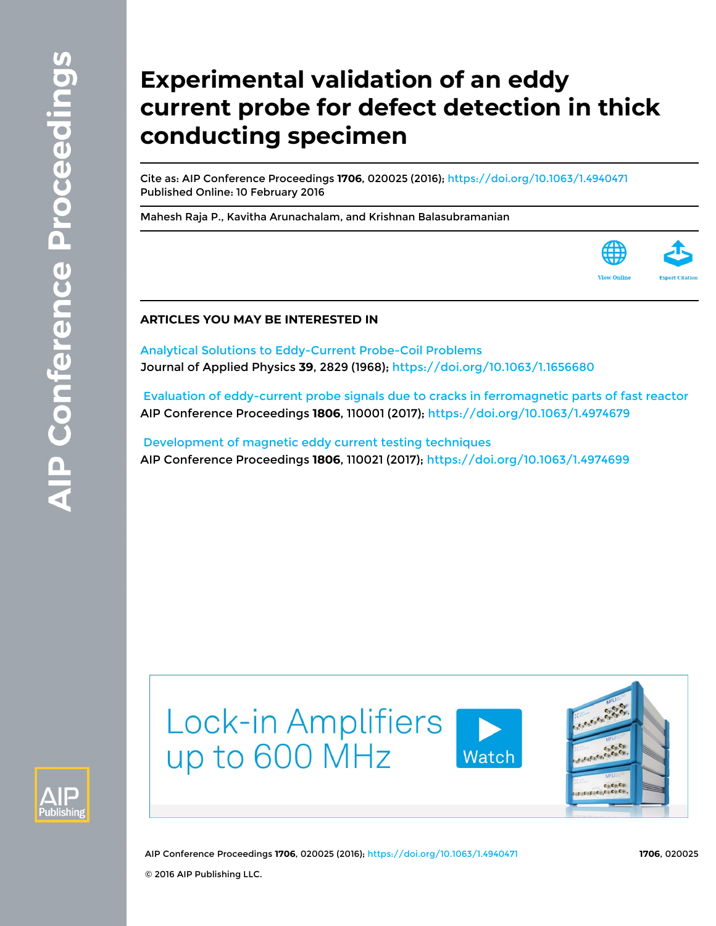# **Experimental validation of an eddy current probe for defect detection in thick conducting specimen**

Cite as: AIP Conference Proceedings **1706**, 020025 (2016); <https://doi.org/10.1063/1.4940471> Published Online: 10 February 2016

[Mahesh Raja P.](https://aip.scitation.org/author/P%2C+Mahesh+Raja), [Kavitha Arunachalam,](https://aip.scitation.org/author/Arunachalam%2C+Kavitha) and [Krishnan Balasubramanian](https://aip.scitation.org/author/Balasubramanian%2C+Krishnan)



# **ARTICLES YOU MAY BE INTERESTED IN**

[Analytical Solutions to Eddy-Current Probe-Coil Problems](https://aip.scitation.org/doi/10.1063/1.1656680) Journal of Applied Physics **39**, 2829 (1968); <https://doi.org/10.1063/1.1656680>

 [Evaluation of eddy-current probe signals due to cracks in ferromagnetic parts of fast reactor](https://aip.scitation.org/doi/10.1063/1.4974679) AIP Conference Proceedings **1806**, 110001 (2017);<https://doi.org/10.1063/1.4974679>

 [Development of magnetic eddy current testing techniques](https://aip.scitation.org/doi/10.1063/1.4974699) AIP Conference Proceedings **1806**, 110021 (2017);<https://doi.org/10.1063/1.4974699>



Lock-in Amplifiers up to 600 MHz





AIP Conference Proceedings **1706**, 020025 (2016); <https://doi.org/10.1063/1.4940471> **1706**, 020025 © 2016 AIP Publishing LLC.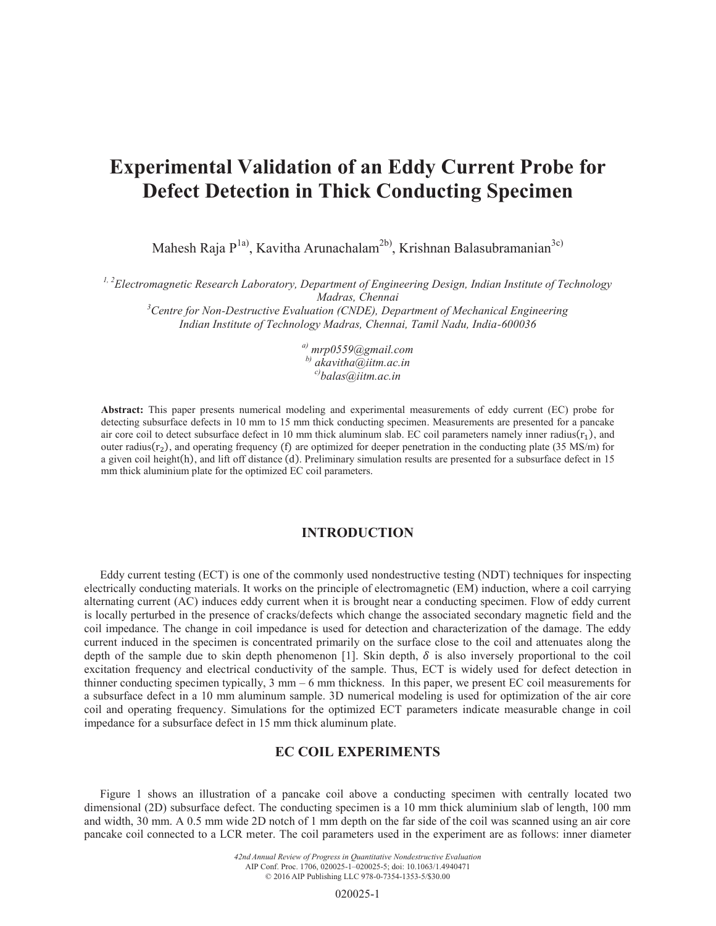# **Experimental Validation of an Eddy Current Probe for Defect Detection in Thick Conducting Specimen**

Mahesh Raja P<sup>1a)</sup>, Kavitha Arunachalam<sup>2b)</sup>, Krishnan Balasubramanian<sup>3c)</sup>

*1, 2Electromagnetic Research Laboratory, Department of Engineering Design, Indian Institute of Technology* 

*Madras, Chennai*<br><sup>3</sup> Centre for Non-Destructive Evaluation (CNDE), Department of Mechanical Engineering<sup>3</sup> *Indian Institute of Technology Madras, Chennai, Tamil Nadu, India-600036* 

> *a) mrp0559@gmail.com b) akavitha@iitm.ac.in c)balas@iitm.ac.in*

**Abstract:** This paper presents numerical modeling and experimental measurements of eddy current (EC) probe for detecting subsurface defects in 10 mm to 15 mm thick conducting specimen. Measurements are presented for a pancake air core coil to detect subsurface defect in 10 mm thick aluminum slab. EC coil parameters namely inner radius $(r_1)$ , and outer radius $(r_2)$ , and operating frequency (f) are optimized for deeper penetration in the conducting plate (35 MS/m) for a given coil height(h), and lift off distance (d). Preliminary simulation results are presented for a subsurface defect in 15 mm thick aluminium plate for the optimized EC coil parameters.

## **INTRODUCTION**

Eddy current testing (ECT) is one of the commonly used nondestructive testing (NDT) techniques for inspecting electrically conducting materials. It works on the principle of electromagnetic (EM) induction, where a coil carrying alternating current (AC) induces eddy current when it is brought near a conducting specimen. Flow of eddy current is locally perturbed in the presence of cracks/defects which change the associated secondary magnetic field and the coil impedance. The change in coil impedance is used for detection and characterization of the damage. The eddy current induced in the specimen is concentrated primarily on the surface close to the coil and attenuates along the depth of the sample due to skin depth phenomenon [1]. Skin depth,  $\delta$  is also inversely proportional to the coil excitation frequency and electrical conductivity of the sample. Thus, ECT is widely used for defect detection in thinner conducting specimen typically, 3 mm – 6 mm thickness. In this paper, we present EC coil measurements for a subsurface defect in a 10 mm aluminum sample. 3D numerical modeling is used for optimization of the air core coil and operating frequency. Simulations for the optimized ECT parameters indicate measurable change in coil impedance for a subsurface defect in 15 mm thick aluminum plate.

# **EC COIL EXPERIMENTS**

Figure 1 shows an illustration of a pancake coil above a conducting specimen with centrally located two dimensional (2D) subsurface defect. The conducting specimen is a 10 mm thick aluminium slab of length, 100 mm and width, 30 mm. A 0.5 mm wide 2D notch of 1 mm depth on the far side of the coil was scanned using an air core pancake coil connected to a LCR meter. The coil parameters used in the experiment are as follows: inner diameter

> *42nd Annual Review of Progress in Quantitative Nondestructive Evaluation* AIP Conf. Proc. 1706, 020025-1–020025-5; doi: 10.1063/1.4940471 © 2016 AIP Publishing LLC 978-0-7354-1353-5/\$30.00

> > 020025-1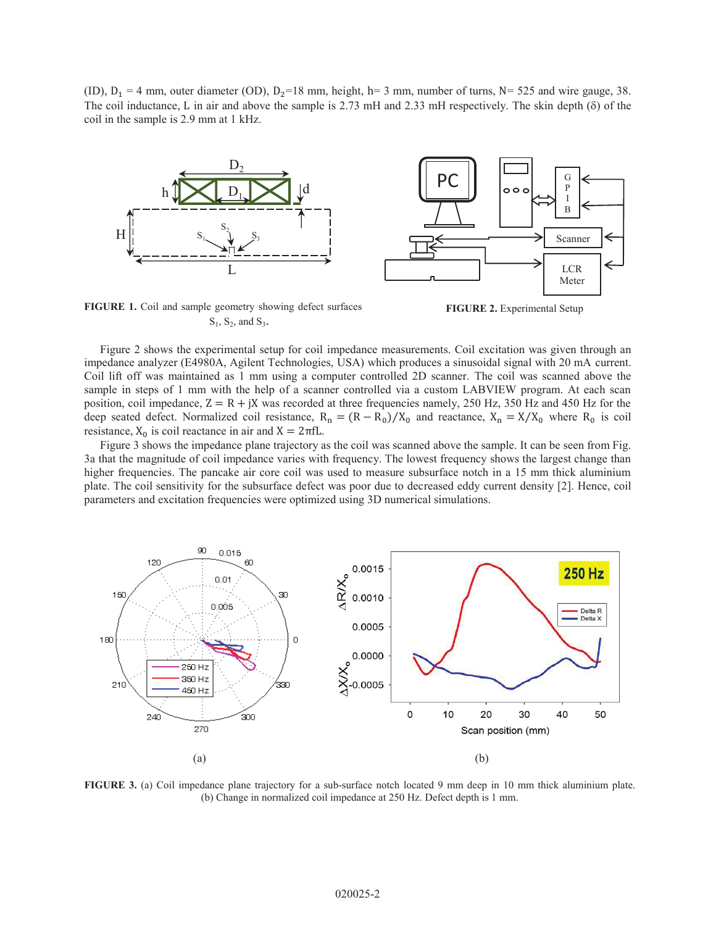(ID),  $D_1 = 4$  mm, outer diameter (OD),  $D_2 = 18$  mm, height, h= 3 mm, number of turns, N= 525 and wire gauge, 38. The coil inductance, L in air and above the sample is 2.73 mH and 2.33 mH respectively. The skin depth ( $\delta$ ) of the coil in the sample is 2.9 mm at 1 kHz.



G PC P  $\circ$   $\circ$ I B Scanner LCR Meter

**FIGURE 1.** Coil and sample geometry showing defect surfaces e geometry showing defect surfaces<br> **FIGURE 2.** Experimental Setup<br>  $S_1$ ,  $S_2$ , and  $S_3$ .



Figure 2 shows the experimental setup for coil impedance measurements. Coil excitation was given through an impedance analyzer (E4980A, Agilent Technologies, USA) which produces a sinusoidal signal with 20 mA current. Coil lift off was maintained as 1 mm using a computer controlled 2D scanner. The coil was scanned above the sample in steps of 1 mm with the help of a scanner controlled via a custom LABVIEW program. At each scan position, coil impedance,  $Z = R + jX$  was recorded at three frequencies namely, 250 Hz, 350 Hz and 450 Hz for the deep seated defect. Normalized coil resistance,  $R_n = (R - R_0)/X_0$  and reactance,  $X_n = X/X_0$  where  $R_0$  is coil resistance,  $X_0$  is coil reactance in air and  $X = 2\pi fL$ .

Figure 3 shows the impedance plane trajectory as the coil was scanned above the sample. It can be seen from Fig. 3a that the magnitude of coil impedance varies with frequency. The lowest frequency shows the largest change than higher frequencies. The pancake air core coil was used to measure subsurface notch in a 15 mm thick aluminium plate. The coil sensitivity for the subsurface defect was poor due to decreased eddy current density [2]. Hence, coil parameters and excitation frequencies were optimized using 3D numerical simulations.



**FIGURE 3.** (a) Coil impedance plane trajectory for a sub-surface notch located 9 mm deep in 10 mm thick aluminium plate. (b) Change in normalized coil impedance at 250 Hz. Defect depth is 1 mm.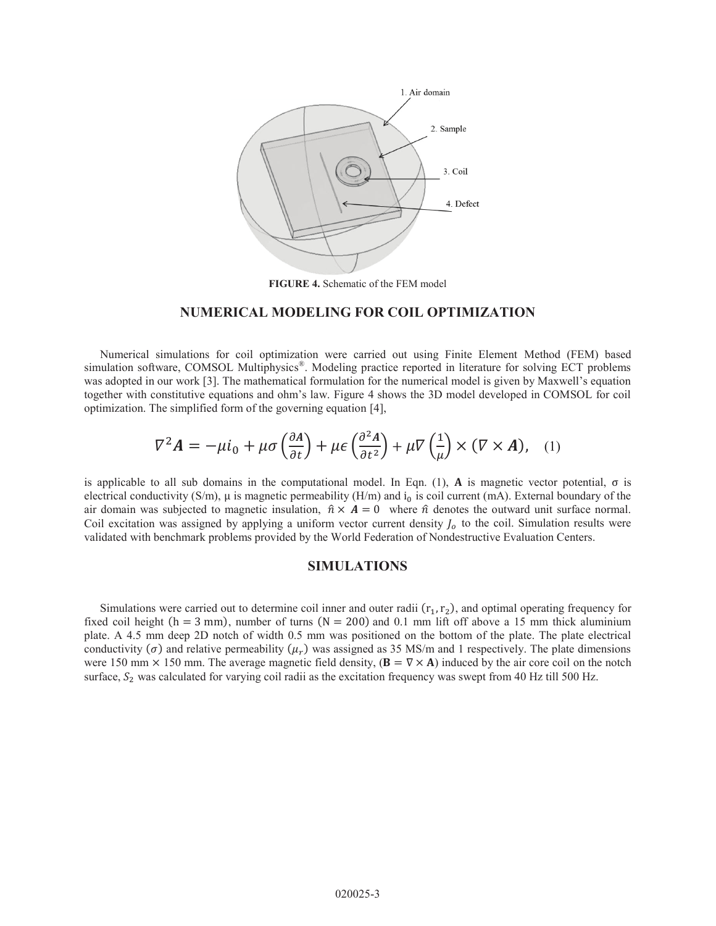

**FIGURE 4.** Schematic of the FEM model

#### **NUMERICAL MODELING FOR COIL OPTIMIZATION**

Numerical simulations for coil optimization were carried out using Finite Element Method (FEM) based simulation software, COMSOL Multiphysics<sup>®</sup>. Modeling practice reported in literature for solving ECT problems was adopted in our work [3]. The mathematical formulation for the numerical model is given by Maxwell's equation together with constitutive equations and ohm's law. Figure 4 shows the 3D model developed in COMSOL for coil optimization. The simplified form of the governing equation [4],

$$
\nabla^2 \mathbf{A} = -\mu i_0 + \mu \sigma \left(\frac{\partial \mathbf{A}}{\partial t}\right) + \mu \epsilon \left(\frac{\partial^2 \mathbf{A}}{\partial t^2}\right) + \mu \nabla \left(\frac{1}{\mu}\right) \times (\nabla \times \mathbf{A}), \quad (1)
$$

is applicable to all sub domains in the computational model. In Eqn. (1), **A** is magnetic vector potential,  $\sigma$  is electrical conductivity (S/m),  $\mu$  is magnetic permeability (H/m) and  $i_0$  is coil current (mA). External boundary of the air domain was subjected to magnetic insulation,  $\hat{n} \times A = 0$  where  $\hat{n}$  denotes the outward unit surface normal. Coil excitation was assigned by applying a uniform vector current density  $J<sub>o</sub>$  to the coil. Simulation results were validated with benchmark problems provided by the World Federation of Nondestructive Evaluation Centers.

#### **SIMULATIONS**

Simulations were carried out to determine coil inner and outer radii  $(r_1, r_2)$ , and optimal operating frequency for fixed coil height ( $h = 3$  mm), number of turns ( $N = 200$ ) and 0.1 mm lift off above a 15 mm thick aluminium plate. A 4.5 mm deep 2D notch of width 0.5 mm was positioned on the bottom of the plate. The plate electrical conductivity ( $\sigma$ ) and relative permeability ( $\mu_r$ ) was assigned as 35 MS/m and 1 respectively. The plate dimensions were 150 mm  $\times$  150 mm. The average magnetic field density,  $(\mathbf{B} = \nabla \times \mathbf{A})$  induced by the air core coil on the notch surface,  $S_2$  was calculated for varying coil radii as the excitation frequency was swept from 40 Hz till 500 Hz.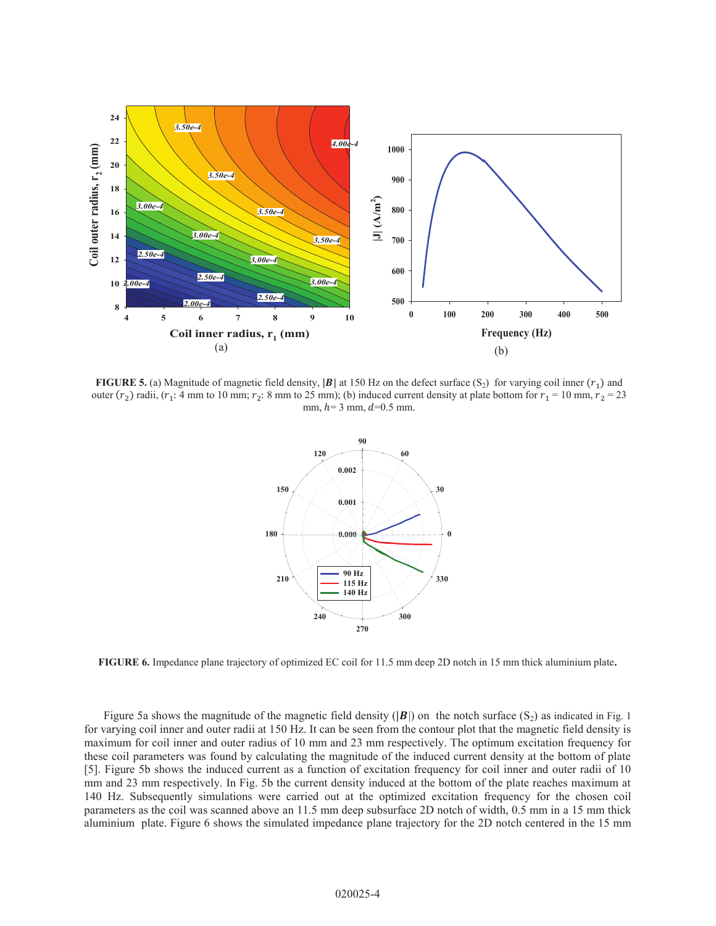

**FIGURE 5.** (a) Magnitude of magnetic field density,  $|\mathbf{B}|$  at 150 Hz on the defect surface (S<sub>2</sub>) for varying coil inner  $(r_1)$  and outer  $(r_2)$  radii,  $(r_1: 4 \text{ mm to } 10 \text{ mm}; r_2: 8 \text{ mm to } 25 \text{ mm})$ ; (b) induced current density at plate bottom for  $r_1 = 10 \text{ mm}, r_2 = 23$ mm,  $h=3$  mm,  $d=0.5$  mm.



**FIGURE 6.** Impedance plane trajectory of optimized EC coil for 11.5 mm deep 2D notch in 15 mm thick aluminium plate**.**

Figure 5a shows the magnitude of the magnetic field density ( $|\mathbf{B}|$ ) on the notch surface (S<sub>2</sub>) as indicated in Fig. 1 for varying coil inner and outer radii at 150 Hz. It can be seen from the contour plot that the magnetic field density is maximum for coil inner and outer radius of 10 mm and 23 mm respectively. The optimum excitation frequency for these coil parameters was found by calculating the magnitude of the induced current density at the bottom of plate [5]. Figure 5b shows the induced current as a function of excitation frequency for coil inner and outer radii of 10 mm and 23 mm respectively. In Fig. 5b the current density induced at the bottom of the plate reaches maximum at 140 Hz. Subsequently simulations were carried out at the optimized excitation frequency for the chosen coil parameters as the coil was scanned above an 11.5 mm deep subsurface 2D notch of width, 0.5 mm in a 15 mm thick aluminium plate. Figure 6 shows the simulated impedance plane trajectory for the 2D notch centered in the 15 mm